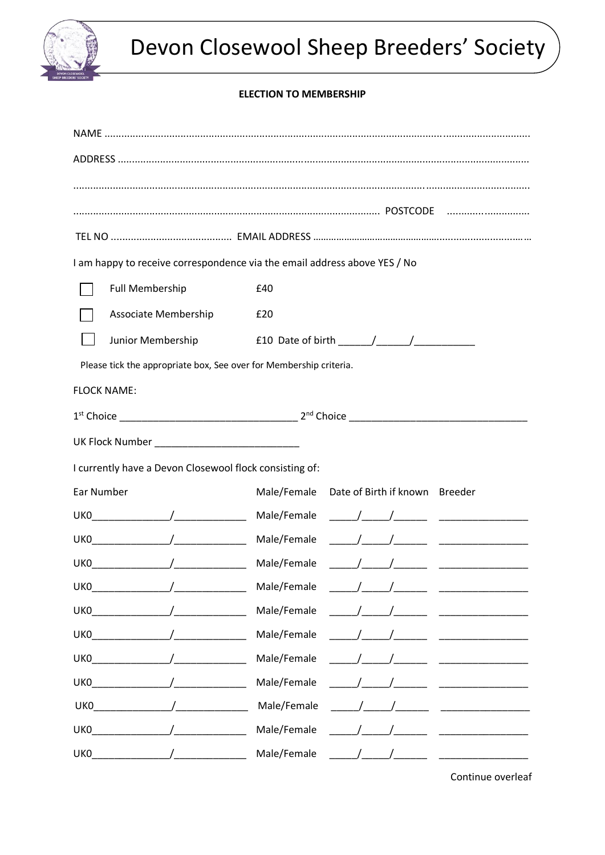

# **ELECTION TO MEMBERSHIP**

| I am happy to receive correspondence via the email address above YES / No |                                                                                                |  |  |  |
|---------------------------------------------------------------------------|------------------------------------------------------------------------------------------------|--|--|--|
| <b>Full Membership</b>                                                    | £40                                                                                            |  |  |  |
| Associate Membership                                                      | £20                                                                                            |  |  |  |
| Junior Membership                                                         | £10 Date of birth $\frac{1}{\sqrt{1-\frac{1}{2}}}\left  \frac{1}{\sqrt{1-\frac{1}{2}}}\right $ |  |  |  |
| Please tick the appropriate box, See over for Membership criteria.        |                                                                                                |  |  |  |
| <b>FLOCK NAME:</b>                                                        |                                                                                                |  |  |  |
|                                                                           |                                                                                                |  |  |  |
|                                                                           |                                                                                                |  |  |  |
| I currently have a Devon Closewool flock consisting of:                   |                                                                                                |  |  |  |
| Ear Number                                                                | Male/Female Date of Birth if known Breeder                                                     |  |  |  |
|                                                                           |                                                                                                |  |  |  |
|                                                                           |                                                                                                |  |  |  |
|                                                                           |                                                                                                |  |  |  |
| $\overline{1}$<br>UK0                                                     | Male/Female<br>$\sqrt{2}$                                                                      |  |  |  |
| $\overline{1}$<br>UK0                                                     | Male/Female                                                                                    |  |  |  |
| $\overline{1}$<br>UK0                                                     | Male/Female                                                                                    |  |  |  |
| $\sqrt{2}$<br>UK0                                                         | Male/Female                                                                                    |  |  |  |
| UK0                                                                       | Male/Female                                                                                    |  |  |  |
| UK0                                                                       | Male/Female                                                                                    |  |  |  |
| UKO                                                                       | Male/Female                                                                                    |  |  |  |
| UKO                                                                       | Male/Female                                                                                    |  |  |  |

Continue overleaf